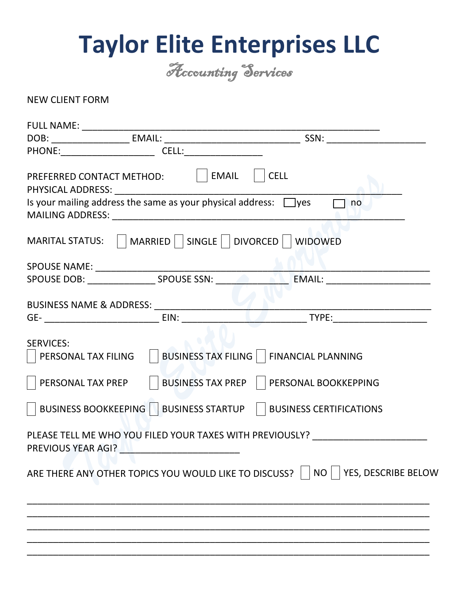## **Taylor Elite Enterprises LLC**

Accounting Services

NEW CLIENT FORM

|                                         | PREFERRED CONTACT METHOD:   EMAIL                                     | $\vert$ $\vert$ CELL                                                                 |
|-----------------------------------------|-----------------------------------------------------------------------|--------------------------------------------------------------------------------------|
|                                         | Is your mailing address the same as your physical address: $\Box$ yes | no                                                                                   |
|                                         | MARITAL STATUS:     MARRIED     SINGLE     DIVORCED     WIDOWED       |                                                                                      |
|                                         |                                                                       |                                                                                      |
|                                         |                                                                       |                                                                                      |
|                                         |                                                                       |                                                                                      |
|                                         |                                                                       |                                                                                      |
| <b>SERVICES:</b><br>PERSONAL TAX FILING |                                                                       | BUSINESS TAX FILING     FINANCIAL PLANNING                                           |
| PERSONAL TAX PREP                       |                                                                       | BUSINESS TAX PREP     PERSONAL BOOKKEPPING                                           |
|                                         |                                                                       | BUSINESS BOOKKEEPING     BUSINESS STARTUP     BUSINESS CERTIFICATIONS                |
|                                         | PREVIOUS YEAR AGI?                                                    | PLEASE TELL ME WHO YOU FILED YOUR TAXES WITH PREVIOUSLY?                             |
|                                         |                                                                       | ARE THERE ANY OTHER TOPICS YOU WOULD LIKE TO DISCUSS?     NO     YES, DESCRIBE BELOW |
|                                         |                                                                       |                                                                                      |
|                                         |                                                                       |                                                                                      |
|                                         |                                                                       |                                                                                      |
|                                         |                                                                       |                                                                                      |
|                                         |                                                                       |                                                                                      |